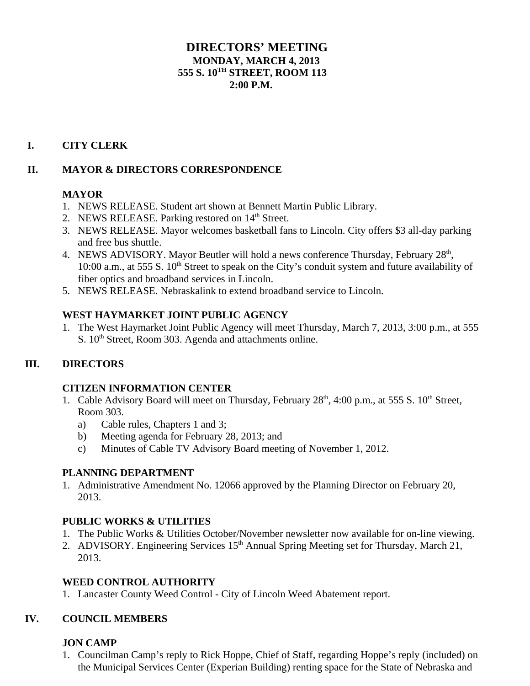## **DIRECTORS' MEETING MONDAY, MARCH 4, 2013 555 S. 10TH STREET, ROOM 113 2:00 P.M.**

## **I. CITY CLERK**

### **II. MAYOR & DIRECTORS CORRESPONDENCE**

### **MAYOR**

- 1. NEWS RELEASE. Student art shown at Bennett Martin Public Library.
- 2. NEWS RELEASE. Parking restored on  $14<sup>th</sup>$  Street.
- 3. NEWS RELEASE. Mayor welcomes basketball fans to Lincoln. City offers \$3 all-day parking and free bus shuttle.
- 4. NEWS ADVISORY. Mayor Beutler will hold a news conference Thursday, February 28<sup>th</sup>, 10:00 a.m., at 555 S. 10<sup>th</sup> Street to speak on the City's conduit system and future availability of fiber optics and broadband services in Lincoln.
- 5. NEWS RELEASE. Nebraskalink to extend broadband service to Lincoln.

### **WEST HAYMARKET JOINT PUBLIC AGENCY**

1. The West Haymarket Joint Public Agency will meet Thursday, March 7, 2013, 3:00 p.m., at 555 S.  $10<sup>th</sup>$  Street, Room 303. Agenda and attachments online.

### **III. DIRECTORS**

### **CITIZEN INFORMATION CENTER**

- 1. Cable Advisory Board will meet on Thursday, February  $28<sup>th</sup>$ , 4:00 p.m., at 555 S. 10<sup>th</sup> Street, Room 303.
	- a) Cable rules, Chapters 1 and 3;
	- b) Meeting agenda for February 28, 2013; and
	- c) Minutes of Cable TV Advisory Board meeting of November 1, 2012.

### **PLANNING DEPARTMENT**

1. Administrative Amendment No. 12066 approved by the Planning Director on February 20, 2013.

### **PUBLIC WORKS & UTILITIES**

- 1. The Public Works & Utilities October/November newsletter now available for on-line viewing.
- 2. ADVISORY. Engineering Services 15<sup>th</sup> Annual Spring Meeting set for Thursday, March 21, 2013.

### **WEED CONTROL AUTHORITY**

1. Lancaster County Weed Control - City of Lincoln Weed Abatement report.

### **IV. COUNCIL MEMBERS**

### **JON CAMP**

1. Councilman Camp's reply to Rick Hoppe, Chief of Staff, regarding Hoppe's reply (included) on the Municipal Services Center (Experian Building) renting space for the State of Nebraska and